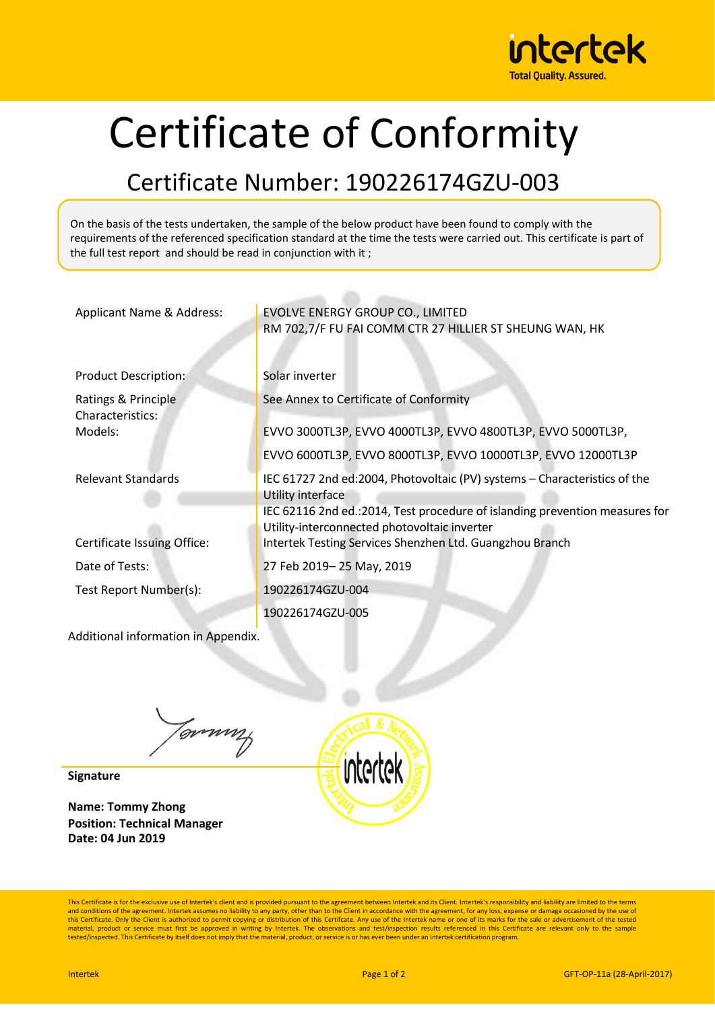

## Certificate of Conformity

## Certificate Number: 190226174GZU-003

On the basis of the tests undertaken, the sample of the below product have been found to comply with the requirements of the referenced specification standard at the time the tests were carried out. This certificate is part of the full test report and should be read in conjunction with it ;

| Applicant Name & Address:               | EVOLVE ENERGY GROUP CO., LIMITED<br>RM 702,7/F FU FAI COMM CTR 27 HILLIER ST SHEUNG WAN, HK                                                                                   |
|-----------------------------------------|-------------------------------------------------------------------------------------------------------------------------------------------------------------------------------|
| <b>Product Description:</b>             | Solar inverter                                                                                                                                                                |
| Ratings & Principle<br>Characteristics: | See Annex to Certificate of Conformity                                                                                                                                        |
| Models:                                 | EVVO 3000TL3P, EVVO 4000TL3P, EVVO 4800TL3P, EVVO 5000TL3P,                                                                                                                   |
|                                         | EVVO 6000TL3P, EVVO 8000TL3P, EVVO 10000TL3P, EVVO 12000TL3P                                                                                                                  |
| <b>Relevant Standards</b>               | IEC 61727 2nd ed:2004, Photovoltaic (PV) systems – Characteristics of the<br>Utility interface<br>IEC 62116 2nd ed.:2014, Test procedure of islanding prevention measures for |
|                                         | Utility-interconnected photovoltaic inverter                                                                                                                                  |
| Certificate Issuing Office:             | Intertek Testing Services Shenzhen Ltd. Guangzhou Branch                                                                                                                      |
| Date of Tests:                          | 27 Feb 2019-25 May, 2019                                                                                                                                                      |
| Test Report Number(s):                  | 190226174GZU-004                                                                                                                                                              |
|                                         | 190226174GZU-005                                                                                                                                                              |

Additional information in Appendix.

Tommy

**Signature**

**Name: Tommy Zhong Position: Technical Manager Date: 04 Jun 2019**



This Certificate is for the exclusive use of Intertek's client and is provided pursuant to the agreement between Intertek and its Client. Intertek's responsibility and liability are limited to the terms and conditions of the agreement. Intertek assumes no liability to any party, other than to the Client in accordance with the agreement, for any loss, expense or damage occasioned by the use of<br>this Certificate. Only the Cl material, product or service must first be approved in writing by Intertek. The observations and test/inspection results referenced in this Certificate are relevant only to the sample tested/inspected. This Certificate by itself does not imply that the material, product, or service is or has ever been under an Intertek certification program.